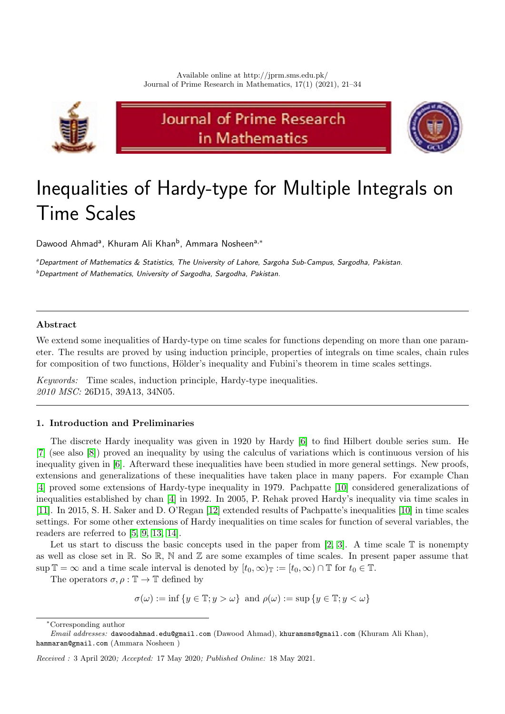

# Journal of Prime Research in Mathematics



# Inequalities of Hardy-type for Multiple Integrals on Time Scales

Dawood Ahmad<sup>a</sup>, Khuram Ali Khan<sup>b</sup>, Ammara Nosheen<sup>a,∗</sup>

aDepartment of Mathematics & Statistics, The University of Lahore, Sargoha Sub-Campus, Sargodha, Pakistan.  $<sup>b</sup>$  Department of Mathematics, University of Sargodha, Sargodha, Pakistan.</sup>

# Abstract

We extend some inequalities of Hardy-type on time scales for functions depending on more than one parameter. The results are proved by using induction principle, properties of integrals on time scales, chain rules for composition of two functions, Hölder's inequality and Fubini's theorem in time scales settings.

Keywords: Time scales, induction principle, Hardy-type inequalities. 2010 MSC: 26D15, 39A13, 34N05.

## <span id="page-0-0"></span>1. Introduction and Preliminaries

The discrete Hardy inequality was given in 1920 by Hardy [\[6\]](#page-12-0) to find Hilbert double series sum. He [\[7\]](#page-12-1) (see also [\[8\]](#page-12-2)) proved an inequality by using the calculus of variations which is continuous version of his inequality given in [\[6\]](#page-12-0). Afterward these inequalities have been studied in more general settings. New proofs, extensions and generalizations of these inequalities have taken place in many papers. For example Chan [\[4\]](#page-12-3) proved some extensions of Hardy-type inequality in 1979. Pachpatte [\[10\]](#page-12-4) considered generalizations of inequalities established by chan [\[4\]](#page-12-3) in 1992. In 2005, P. Rehak proved Hardy's inequality via time scales in [\[11\]](#page-12-5). In 2015, S. H. Saker and D. O'Regan [\[12\]](#page-12-6) extended results of Pachpatte's inequalities [\[10\]](#page-12-4) in time scales settings. For some other extensions of Hardy inequalities on time scales for function of several variables, the readers are referred to [\[5,](#page-12-7) [9,](#page-12-8) [13,](#page-13-0) [14\]](#page-13-1).

Let us start to discuss the basic concepts used in the paper from [\[2,](#page-12-9) [3\]](#page-12-10). A time scale  $\mathbb T$  is nonempty as well as close set in  $\mathbb R$ . So  $\mathbb R$ ,  $\mathbb N$  and  $\mathbb Z$  are some examples of time scales. In present paper assume that sup  $\mathbb{T} = \infty$  and a time scale interval is denoted by  $[t_0, \infty)_{\mathbb{T}} := [t_0, \infty) \cap \mathbb{T}$  for  $t_0 \in \mathbb{T}$ .

The operators  $\sigma, \rho : \mathbb{T} \to \mathbb{T}$  defined by

 $\sigma(\omega) := \inf \{ y \in \mathbb{T} : y > \omega \}$  and  $\rho(\omega) := \sup \{ y \in \mathbb{T} : y < \omega \}$ 

<sup>∗</sup>Corresponding author

Email addresses: dawoodahmad.edu@gmail.com (Dawood Ahmad), khuramsms@gmail.com (Khuram Ali Khan), hammaran@gmail.com (Ammara Nosheen )

Received : 3 April 2020; Accepted: 17 May 2020; Published Online: 18 May 2021.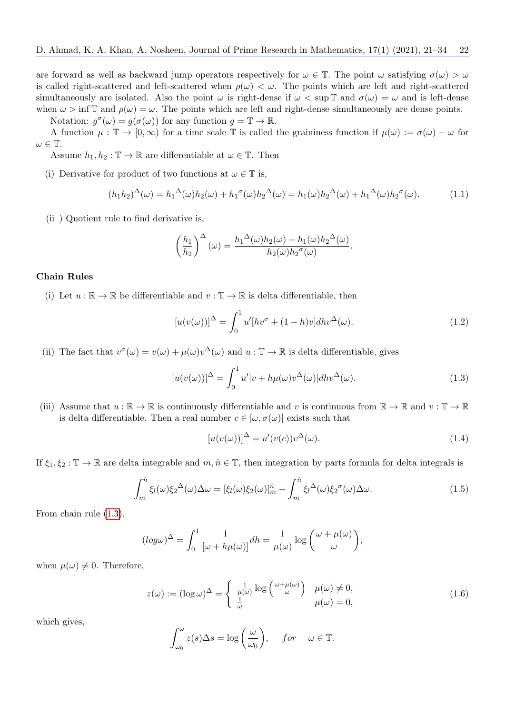are forward as well as backward jump operators respectively for  $\omega \in \mathbb{T}$ . The point  $\omega$  satisfying  $\sigma(\omega) > \omega$ is called right-scattered and left-scattered when  $\rho(\omega) < \omega$ . The points which are left and right-scattered simultaneously are isolated. Also the point  $\omega$  is right-dense if  $\omega < \sup \mathbb{T}$  and  $\sigma(\omega) = \omega$  and is left-dense when  $\omega > \inf \mathbb{T}$  and  $\rho(\omega) = \omega$ . The points which are left and right-dense simultaneously are dense points. Notation:  $g^{\sigma}(\omega) = g(\sigma(\omega))$  for any function  $g = \mathbb{T} \to \mathbb{R}$ .

A function  $\mu : \mathbb{T} \to [0, \infty)$  for a time scale T is called the graininess function if  $\mu(\omega) := \sigma(\omega) - \omega$  for  $\omega \in \mathbb{T}$ .

Assume  $h_1, h_2 : \mathbb{T} \to \mathbb{R}$  are differentiable at  $\omega \in \mathbb{T}$ . Then

(i) Derivative for product of two functions at  $\omega \in \mathbb{T}$  is,

<span id="page-1-3"></span>
$$
(h_1h_2)^{\Delta}(\omega) = h_1^{\Delta}(\omega)h_2(\omega) + h_1^{\sigma}(\omega)h_2^{\Delta}(\omega) = h_1(\omega)h_2^{\Delta}(\omega) + h_1^{\Delta}(\omega)h_2^{\sigma}(\omega).
$$
 (1.1)

(ii ) Quotient rule to find derivative is,

$$
\left(\frac{h_1}{h_2}\right)^{\Delta}(\omega) = \frac{h_1^{\Delta}(\omega)h_2(\omega) - h_1(\omega)h_2^{\Delta}(\omega)}{h_2(\omega)h_2^{\sigma}(\omega)}.
$$

## Chain Rules

(i) Let  $u : \mathbb{R} \to \mathbb{R}$  be differentiable and  $v : \mathbb{T} \to \mathbb{R}$  is delta differentiable, then

<span id="page-1-4"></span>
$$
[u(v(\omega))]^{\Delta} = \int_0^1 u'[hv^{\sigma} + (1-h)v]dhv^{\Delta}(\omega).
$$
 (1.2)

(ii) The fact that  $v^{\sigma}(\omega) = v(\omega) + \mu(\omega)v^{\Delta}(\omega)$  and  $u : \mathbb{T} \to \mathbb{R}$  is delta differentiable, gives

<span id="page-1-0"></span>
$$
[u(v(\omega))]^{\Delta} = \int_0^1 u'[v + h\mu(\omega)v^{\Delta}(\omega)]dhv^{\Delta}(\omega).
$$
 (1.3)

(iii) Assume that  $u : \mathbb{R} \to \mathbb{R}$  is continuously differentiable and v is continuous from  $\mathbb{R} \to \mathbb{R}$  and  $v : \mathbb{T} \to \mathbb{R}$ is delta differentiable. Then a real number  $c \in [\omega, \sigma(\omega)]$  exists such that

<span id="page-1-5"></span>
$$
[u(v(\omega))]^{\Delta} = u'(v(c))v^{\Delta}(\omega).
$$
\n(1.4)

If  $\xi_1, \xi_2 : \mathbb{T} \to \mathbb{R}$  are delta integrable and  $m, \hat{n} \in \mathbb{T}$ , then integration by parts formula for delta integrals is

<span id="page-1-2"></span>
$$
\int_{m}^{\hat{n}} \xi_{l}(\omega) \xi_{2}^{\Delta}(\omega) \Delta \omega = [\xi_{l}(\omega) \xi_{2}(\omega)]_{m}^{\hat{n}} - \int_{m}^{\hat{n}} \xi_{l}^{\Delta}(\omega) \xi_{2}^{\sigma}(\omega) \Delta \omega.
$$
\n(1.5)

From chain rule [\(1.3\)](#page-1-0),

$$
(\log \omega)^{\Delta} = \int_0^1 \frac{1}{[\omega + h\mu(\omega)]} dh = \frac{1}{\mu(\omega)} \log \left( \frac{\omega + \mu(\omega)}{\omega} \right),
$$

when  $\mu(\omega) \neq 0$ . Therefore,

<span id="page-1-1"></span>
$$
z(\omega) := (\log \omega)^{\Delta} = \begin{cases} \frac{1}{\mu(\omega)} \log \left( \frac{\omega + \mu(\omega)}{\omega} \right) & \mu(\omega) \neq 0, \\ \frac{1}{\omega} & \mu(\omega) = 0, \end{cases}
$$
(1.6)

which gives,

$$
\int_{\omega_0}^{\omega} z(s) \Delta s = \log \left( \frac{\omega}{\omega_0} \right), \quad for \quad \omega \in \mathbb{T}.
$$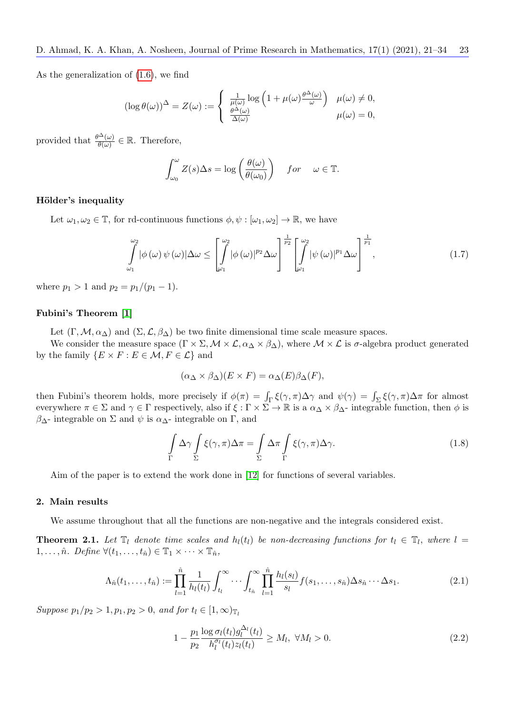As the generalization of [\(1.6\)](#page-1-1), we find

$$
(\log \theta(\omega))^{\Delta} = Z(\omega) := \begin{cases} \frac{1}{\mu(\omega)} \log \left( 1 + \mu(\omega) \frac{\theta^{\Delta}(\omega)}{\omega} \right) & \mu(\omega) \neq 0, \\ \frac{\theta^{\Delta}(\omega)}{\Delta(\omega)} & \mu(\omega) = 0, \end{cases}
$$

provided that  $\frac{\theta^{\Delta}(\omega)}{\theta(\omega)} \in \mathbb{R}$ . Therefore,

$$
\int_{\omega_0}^{\omega} Z(s) \Delta s = \log \left( \frac{\theta(\omega)}{\theta(\omega_0)} \right) \quad for \quad \omega \in \mathbb{T}.
$$

#### Hölder's inequality

Let  $\omega_1, \omega_2 \in \mathbb{T}$ , for rd-continuous functions  $\phi, \psi : [\omega_1, \omega_2] \to \mathbb{R}$ , we have

$$
\int_{\omega_1}^{\omega_2} |\phi(\omega)\,\psi(\omega)| \Delta \omega \le \left[ \int_{\omega_1}^{\omega_2} |\phi(\omega)|^{p_2} \Delta \omega \right]^{\frac{1}{p_2}} \left[ \int_{\omega_1}^{\omega_2} |\psi(\omega)|^{p_1} \Delta \omega \right]^{\frac{1}{p_1}}, \tag{1.7}
$$

where  $p_1 > 1$  and  $p_2 = p_1/(p_1 - 1)$ .

#### <span id="page-2-3"></span>Fubini's Theorem [\[1\]](#page-12-11)

Let  $(\Gamma, \mathcal{M}, \alpha_{\Delta})$  and  $(\Sigma, \mathcal{L}, \beta_{\Delta})$  be two finite dimensional time scale measure spaces.

We consider the measure space  $(\Gamma \times \Sigma, \mathcal{M} \times \mathcal{L}, \alpha_{\Delta} \times \beta_{\Delta})$ , where  $\mathcal{M} \times \mathcal{L}$  is  $\sigma$ -algebra product generated by the family  $\{E \times F : E \in \mathcal{M}, F \in \mathcal{L}\}\$ and

$$
(\alpha_{\Delta} \times \beta_{\Delta})(E \times F) = \alpha_{\Delta}(E)\beta_{\Delta}(F),
$$

then Fubini's theorem holds, more precisely if  $\phi(\pi) = \int_{\Gamma} \xi(\gamma, \pi) \Delta \gamma$  and  $\psi(\gamma) = \int_{\Sigma} \xi(\gamma, \pi) \Delta \pi$  for almost everywhere  $\pi \in \Sigma$  and  $\gamma \in \Gamma$  respectively, also if  $\xi : \Gamma \times \Sigma \to \mathbb{R}$  is a  $\alpha_{\Delta} \times \beta_{\Delta}$ - integrable function, then  $\phi$  is  $β<sub>Δ</sub>$ - integrable on Σ and  $ψ$  is  $α<sub>Δ</sub>$ - integrable on Γ, and

<span id="page-2-4"></span>
$$
\int_{\Gamma} \Delta \gamma \int_{\Sigma} \xi(\gamma, \pi) \Delta \pi = \int_{\Sigma} \Delta \pi \int_{\Gamma} \xi(\gamma, \pi) \Delta \gamma.
$$
\n(1.8)

Aim of the paper is to extend the work done in [\[12\]](#page-12-6) for functions of several variables.

#### 2. Main results

We assume throughout that all the functions are non-negative and the integrals considered exist.

<span id="page-2-2"></span>**Theorem 2.1.** Let  $\mathbb{T}_l$  denote time scales and  $h_l(t_l)$  be non-decreasing functions for  $t_l \in \mathbb{T}_l$ , where  $l =$ 1, ...,  $\hat{n}$ . Define  $\forall (t_1, \ldots, t_{\hat{n}}) \in \mathbb{T}_1 \times \cdots \times \mathbb{T}_{\hat{n}}$ ,

<span id="page-2-0"></span>
$$
\Lambda_{\hat{n}}(t_1,\ldots,t_{\hat{n}}) := \prod_{l=1}^{\hat{n}} \frac{1}{h_l(t_l)} \int_{t_l}^{\infty} \cdots \int_{t_{\hat{n}}}^{\infty} \prod_{l=1}^{\hat{n}} \frac{h_l(s_l)}{s_l} f(s_1,\ldots,s_{\hat{n}}) \Delta s_{\hat{n}} \cdots \Delta s_1.
$$
\n(2.1)

Suppose  $p_1/p_2 > 1, p_1, p_2 > 0$ , and for  $t_l \in [1, \infty)_{\mathbb{T}_l}$ 

<span id="page-2-1"></span>
$$
1 - \frac{p_1}{p_2} \frac{\log \sigma_l(t_l) g_l^{\Delta_l}(t_l)}{h_l^{\sigma_l}(t_l) z_l(t_l)} \ge M_l, \ \forall M_l > 0.
$$
\n(2.2)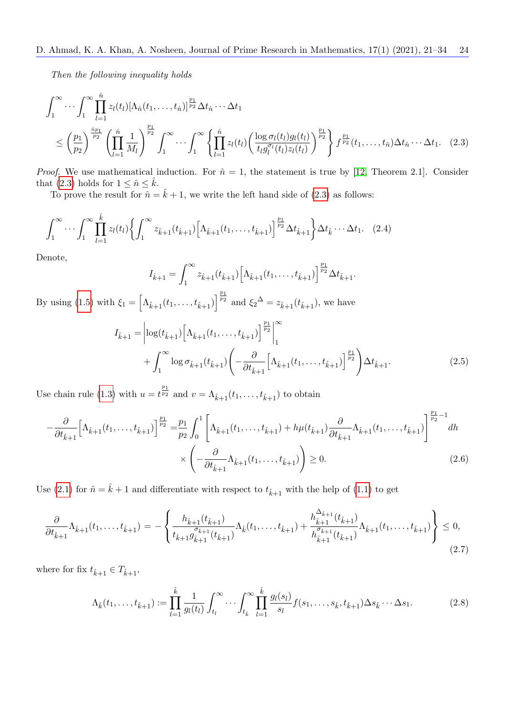Then the following inequality holds

$$
\int_{1}^{\infty} \cdots \int_{1}^{\infty} \prod_{l=1}^{\hat{n}} z_{l}(t_{l}) [\Lambda_{\hat{n}}(t_{1},...,t_{\hat{n}})]^{\frac{p_{1}}{p_{2}}} \Delta t_{\hat{n}} \cdots \Delta t_{1}
$$
\n
$$
\leq \left(\frac{p_{1}}{p_{2}}\right)^{\frac{\hat{n}_{p_{1}}}{p_{2}}} \left(\prod_{l=1}^{\hat{n}} \frac{1}{M_{l}}\right)^{\frac{p_{1}}{p_{2}}} \int_{1}^{\infty} \cdots \int_{1}^{\infty} \left\{\prod_{l=1}^{\hat{n}} z_{l}(t_{l}) \left(\frac{\log \sigma_{l}(t_{l}) g_{l}(t_{l})}{t_{l} g_{l}^{\sigma_{l}}(t_{l}) z_{l}(t_{l})}\right)^{\frac{p_{1}}{p_{2}}}\right\} f^{\frac{p_{1}}{p_{2}}}(t_{1},...,t_{\hat{n}}) \Delta t_{\hat{n}} \cdots \Delta t_{1}.
$$
\n(2.3)

*Proof.* We use mathematical induction. For  $\hat{n} = 1$ , the statement is true by [\[12,](#page-12-6) Theorem 2.1]. Consider that [\(2.3\)](#page-3-0) holds for  $1 \leq \hat{n} \leq \hat{k}$ .

To prove the result for  $\hat{n} = \hat{k} + 1$ , we write the left hand side of [\(2.3\)](#page-3-0) as follows:

$$
\int_{1}^{\infty} \cdots \int_{1}^{\infty} \prod_{l=1}^{\hat{k}} z_{l}(t_{l}) \left\{ \int_{1}^{\infty} z_{\hat{k}+1}(t_{\hat{k}+1}) \left[ \Lambda_{\hat{k}+1}(t_{1}, \ldots, t_{\hat{k}+1}) \right]^{\frac{p_{1}}{p_{2}}} \Delta t_{\hat{k}+1} \right\} \Delta t_{\hat{k}} \cdots \Delta t_{1}. \tag{2.4}
$$

Denote,

<span id="page-3-4"></span><span id="page-3-3"></span><span id="page-3-1"></span><span id="page-3-0"></span>
$$
I_{\hat{k}+1} = \int_1^\infty z_{\hat{k}+1}(t_{\hat{k}+1}) \left[ \Lambda_{\hat{k}+1}(t_1,\ldots,t_{\hat{k}+1}) \right]^{\frac{p_1}{p_2}} \Delta t_{\hat{k}+1}.
$$

By using [\(1.5\)](#page-1-2) with  $\xi_1 = \left[ \Lambda_{\hat{k}+1}(t_1, \ldots, t_{\hat{k}+1}) \right]^{\frac{p_1}{p_2}}$  and  $\xi_2^{\Delta} = z_{\hat{k}+1}(t_{\hat{k}+1})$ , we have

$$
I_{\hat{k}+1} = \left| \log(t_{\hat{k}+1}) \left[ \Lambda_{\hat{k}+1}(t_1, \dots, t_{\hat{k}+1}) \right]^{\frac{p_1}{p_2}} \right|_1^{\infty} + \int_1^{\infty} \log \sigma_{\hat{k}+1}(t_{\hat{k}+1}) \left( -\frac{\partial}{\partial t_{\hat{k}+1}} \left[ \Lambda_{\hat{k}+1}(t_1, \dots, t_{\hat{k}+1}) \right]^{\frac{p_1}{p_2}} \right) \Delta t_{\hat{k}+1}.
$$
 (2.5)

Use chain rule [\(1.3\)](#page-1-0) with  $u = t^{\frac{p_1}{p_2}}$  and  $v = \Lambda_{\hat{k}+1}(t_1,\ldots,t_{\hat{k}+1})$  to obtain

$$
-\frac{\partial}{\partial t_{\hat{k}+1}} \Big[\Lambda_{\hat{k}+1}(t_1,\ldots,t_{\hat{k}+1})\Big]^\frac{p_1}{p_2} = \frac{p_1}{p_2} \int_0^1 \Bigg[\Lambda_{\hat{k}+1}(t_1,\ldots,t_{\hat{k}+1}) + h\mu(t_{\hat{k}+1})\frac{\partial}{\partial t_{\hat{k}+1}}\Lambda_{\hat{k}+1}(t_1,\ldots,t_{\hat{k}+1})\Bigg]^\frac{p_1}{p_2-1} dh
$$
  
 
$$
\times \Bigg(-\frac{\partial}{\partial t_{\hat{k}+1}}\Lambda_{\hat{k}+1}(t_1,\ldots,t_{\hat{k}+1})\Bigg) \ge 0.
$$
 (2.6)

Use [\(2.1\)](#page-2-0) for  $\hat{n} = \hat{k} + 1$  and differentiate with respect to  $t_{\hat{k}+1}$  with the help of [\(1.1\)](#page-1-3) to get

$$
\frac{\partial}{\partial t_{\hat{k}+1}}\Lambda_{\hat{k}+1}(t_1,\ldots,t_{\hat{k}+1}) = -\left\{\frac{h_{\hat{k}+1}(t_{\hat{k}+1})}{t_{\hat{k}+1}g_{\hat{k}+1}^{\sigma_{\hat{k}+1}}(t_{\hat{k}+1})}\Lambda_{\hat{k}}(t_1,\ldots,t_{\hat{k}+1}) + \frac{h_{\hat{k}+1}^{\Delta_{\hat{k}+1}}(t_{\hat{k}+1})}{h_{\hat{k}+1}^{\sigma_{\hat{k}+1}}(t_{\hat{k}+1})}\Lambda_{\hat{k}+1}(t_1,\ldots,t_{\hat{k}+1})\right\} \leq 0,
$$
\n(2.7)

where for fix  $t_{\hat{k}+1} \in T_{\hat{k}+1}$ ,

<span id="page-3-5"></span><span id="page-3-2"></span>
$$
\Lambda_{\hat{k}}(t_1,\ldots,t_{\hat{k}+1}) := \prod_{l=1}^{\hat{k}} \frac{1}{g_l(t_l)} \int_{t_l}^{\infty} \cdots \int_{t_{\hat{k}}}^{\infty} \prod_{l=1}^{\hat{k}} \frac{g_l(s_l)}{s_l} f(s_1,\ldots,s_{\hat{k}},t_{\hat{k}+1}) \Delta s_{\hat{k}} \cdots \Delta s_1.
$$
\n(2.8)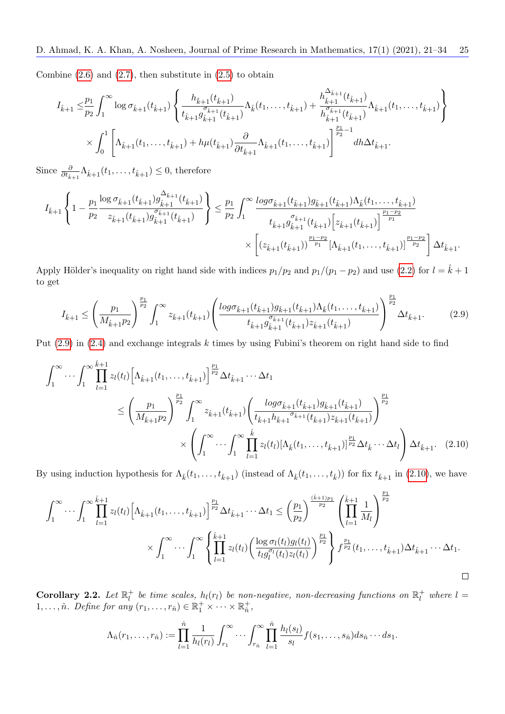Combine  $(2.6)$  and  $(2.7)$ , then substitute in  $(2.5)$  to obtain

$$
I_{\hat{k}+1} \leq \frac{p_1}{p_2} \int_1^{\infty} \log \sigma_{\hat{k}+1}(t_{\hat{k}+1}) \left\{ \frac{h_{\hat{k}+1}(t_{\hat{k}+1})}{t_{\hat{k}+1} g_{\hat{k}+1}^{\sigma_{\hat{k}+1}}(t_{\hat{k}+1})} \Lambda_{\hat{k}}(t_1, \ldots, t_{\hat{k}+1}) + \frac{h_{\hat{k}+1}^{\Delta_{\hat{k}+1}}(t_{\hat{k}+1})}{h_{\hat{k}+1}^{\sigma_{\hat{k}+1}}(t_{\hat{k}+1})} \Lambda_{\hat{k}+1}(t_1, \ldots, t_{\hat{k}+1}) \right\}
$$

$$
\times \int_0^1 \left[ \Lambda_{\hat{k}+1}(t_1, \ldots, t_{\hat{k}+1}) + h\mu(t_{\hat{k}+1}) \frac{\partial}{\partial t_{\hat{k}+1}} \Lambda_{\hat{k}+1}(t_1, \ldots, t_{\hat{k}+1}) \right]_{\frac{p_1}{p_2}-1}^{\frac{p_1}{p_2}-1} dh \Delta t_{\hat{k}+1}.
$$

Since  $\frac{\partial}{\partial t_{\hat{k}+1}} \Lambda_{\hat{k}+1}(t_1,\ldots,t_{\hat{k}+1}) \leq 0$ , therefore

$$
I_{\hat{k}+1} \left\{ 1 - \frac{p_1}{p_2} \frac{\log \sigma_{\hat{k}+1}(t_{\hat{k}+1}) g_{\hat{k}+1}^{\Delta_{\hat{k}+1}}(t_{\hat{k}+1})}{z_{\hat{k}+1}(t_{\hat{k}+1}) g_{\hat{k}+1}^{\sigma_{\hat{k}+1}}(t_{\hat{k}+1})} \right\} \leq \frac{p_1}{p_2} \int_1^{\infty} \frac{\log \sigma_{\hat{k}+1}(t_{\hat{k}+1}) g_{\hat{k}+1}(t_{\hat{k}+1}) \Lambda_{\hat{k}}(t_1, \ldots, t_{\hat{k}+1})}{t_{\hat{k}+1} g_{\hat{k}+1}^{\sigma_{\hat{k}+1}}(t_{\hat{k}+1}) \left[ z_{\hat{k}+1}(t_{\hat{k}+1}) \right]^{\frac{p_1-p_2}{p_1}}} \times \left[ \left( z_{\hat{k}+1}(t_{\hat{k}+1}) \right)^{\frac{p_1-p_2}{p_1}} \left[ \Lambda_{\hat{k}+1}(t_1, \ldots, t_{\hat{k}+1}) \right]^{\frac{p_1-p_2}{p_2}} \right] \Delta t_{\hat{k}+1}.
$$

Apply Hölder's inequality on right hand side with indices  $p_1/p_2$  and  $p_1/(p_1 - p_2)$  and use [\(2.2\)](#page-2-1) for  $l = \hat{k} + 1$ to get

<span id="page-4-0"></span>
$$
I_{\hat{k}+1} \leq \left(\frac{p_1}{M_{\hat{k}+1}p_2}\right)^{\frac{p_1}{p_2}} \int_1^{\infty} z_{\hat{k}+1}(t_{\hat{k}+1}) \left(\frac{\log \sigma_{\hat{k}+1}(t_{\hat{k}+1}) g_{\hat{k}+1}(t_{\hat{k}+1}) \Lambda_{\hat{k}}(t_1,\ldots,t_{\hat{k}+1})}{t_{\hat{k}+1} g_{\hat{k}+1}^{\sigma_{\hat{k}+1}}(t_{\hat{k}+1}) z_{\hat{k}+1}(t_{\hat{k}+1})}\right)^{\frac{p_1}{p_2}} \Delta t_{\hat{k}+1}.
$$
 (2.9)

Put  $(2.9)$  in  $(2.4)$  and exchange integrals k times by using Fubini's theorem on right hand side to find

$$
\int_{1}^{\infty} \cdots \int_{1}^{\infty} \prod_{l=1}^{k+1} z_{l}(t_{l}) \left[ \Lambda_{\hat{k}+1}(t_{1}, \ldots, t_{\hat{k}+1}) \right]^{\frac{p_{1}}{p_{2}}} \Delta t_{\hat{k}+1} \cdots \Delta t_{1}
$$
\n
$$
\leq \left( \frac{p_{1}}{M_{\hat{k}+1}p_{2}} \right)^{\frac{p_{1}}{p_{2}}} \int_{1}^{\infty} z_{\hat{k}+1}(t_{\hat{k}+1}) \left( \frac{\log \sigma_{\hat{k}+1}(t_{\hat{k}+1}) g_{\hat{k}+1}(t_{\hat{k}+1})}{t_{\hat{k}+1}h_{\hat{k}+1} \sigma_{\hat{k}+1}(t_{\hat{k}+1}) z_{\hat{k}+1}(t_{\hat{k}+1})} \right)^{\frac{p_{1}}{p_{2}}} \times \left( \int_{1}^{\infty} \cdots \int_{1}^{\infty} \prod_{l=1}^{\hat{k}} z_{l}(t_{l}) [\Lambda_{\hat{k}}(t_{1}, \ldots, t_{\hat{k}+1})]^{\frac{p_{1}}{p_{2}}} \Delta t_{\hat{k}} \cdots \Delta t_{l} \right) \Delta t_{\hat{k}+1}.
$$
\n(2.10)

By using induction hypothesis for  $\Lambda_k(t_1,\ldots,t_{k+1})$  (instead of  $\Lambda_k(t_1,\ldots,t_k)$ ) for fix  $t_{k+1}$  in [\(2.10\)](#page-4-1), we have

$$
\int_{1}^{\infty} \cdots \int_{1}^{\infty} \prod_{l=1}^{\hat{k}+1} z_{l}(t_{l}) \left[ \Lambda_{\hat{k}+1}(t_{1}, \ldots, t_{\hat{k}+1}) \right]^{\frac{p_{1}}{p_{2}}} \Delta t_{\hat{k}+1} \cdots \Delta t_{1} \leq \left(\frac{p_{1}}{p_{2}}\right)^{\frac{(\hat{k}+1)p_{1}}{p_{2}}} \left(\prod_{l=1}^{\hat{k}+1} \frac{1}{M_{l}}\right)^{\frac{p_{1}}{p_{2}}} \times \int_{1}^{\infty} \cdots \int_{1}^{\infty} \left\{\prod_{l=1}^{\hat{k}+1} z_{l}(t_{l}) \left(\frac{\log \sigma_{l}(t_{l}) g_{l}(t_{l})}{t_{l} g_{l}^{\sigma_{l}}(t_{l}) z_{l}(t_{l})}\right)^{\frac{p_{1}}{p_{2}}}\right\} f^{\frac{p_{1}}{p_{2}}}(t_{1}, \ldots, t_{\hat{k}+1}) \Delta t_{\hat{k}+1} \cdots \Delta t_{1}.
$$

<span id="page-4-2"></span>Corollary 2.2. Let  $\mathbb{R}_l^+$  $l_l^+$  be time scales,  $h_l(r_l)$  be non-negative, non-decreasing functions on  $\mathbb{R}_l^+$  where  $l=0$ 1,...,  $\hat{n}$ . Define for any  $(r_1, \ldots, r_{\hat{n}}) \in \mathbb{R}_1^+ \times \cdots \times \mathbb{R}_{\hat{n}}^+$  $_{\hat n}^+ ,$ 

<span id="page-4-1"></span>
$$
\Lambda_{\hat{n}}(r_1,\ldots,r_{\hat{n}}):=\prod_{l=1}^{\hat{n}}\frac{1}{h_l(r_l)}\int_{r_1}^{\infty}\cdots\int_{r_{\hat{n}}}^{\infty}\prod_{l=1}^{\hat{n}}\frac{h_l(s_l)}{s_l}f(s_1,\ldots,s_{\hat{n}})ds_{\hat{n}}\cdots ds_1.
$$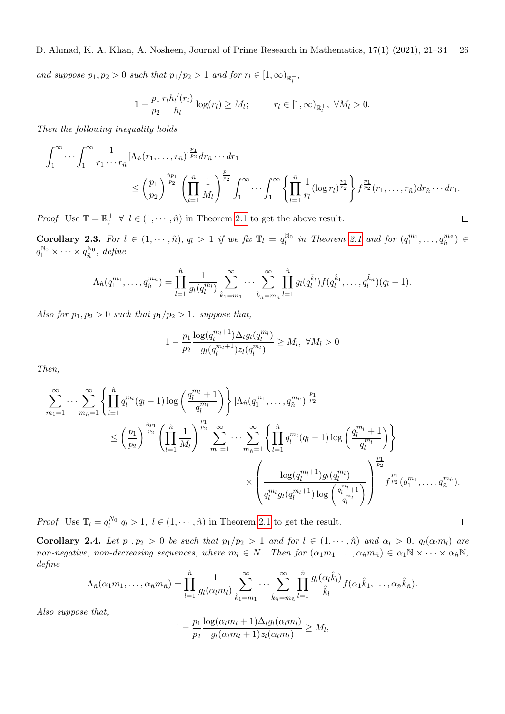and suppose  $p_1, p_2 > 0$  such that  $p_1/p_2 > 1$  and for  $r_l \in [1, \infty)_{\mathbb{R}_l^+}$ ,

$$
1 - \frac{p_1}{p_2} \frac{r_l h_l'(r_l)}{h_l} \log(r_l) \ge M_l; \qquad r_l \in [1, \infty)_{\mathbb{R}_l^+}, \ \forall M_l > 0.
$$

Then the following inequality holds

$$
\int_1^{\infty} \cdots \int_1^{\infty} \frac{1}{r_1 \cdots r_{\hat{n}}} [\Lambda_{\hat{n}}(r_1, \ldots, r_{\hat{n}})]^{\frac{p_1}{p_2}} dr_{\hat{n}} \cdots dr_1
$$
\n
$$
\leq \left(\frac{p_1}{p_2}\right)^{\frac{\hat{n}p_1}{p_2}} \left(\prod_{l=1}^{\hat{n}} \frac{1}{M_l}\right)^{\frac{p_1}{p_2}} \int_1^{\infty} \cdots \int_1^{\infty} \left\{\prod_{l=1}^{\hat{n}} \frac{1}{r_l} (\log r_l)^{\frac{p_1}{p_2}}\right\} f^{\frac{p_1}{p_2}}(r_1, \ldots, r_{\hat{n}}) dr_{\hat{n}} \cdots dr_1.
$$

*Proof.* Use  $\mathbb{T} = \mathbb{R}_l^+$  $l_l^+ \forall l \in (1, \dots, \hat{n})$  in Theorem [2.1](#page-2-2) to get the above result.

Corollary 2.3. For  $l \in (1, \dots, \hat{n}), q_l > 1$  if we fix  $\mathbb{T}_l = q_l^{\mathbb{N}_0}$  in Theorem [2.1](#page-2-2) and for  $(q_1^{m_1}, \dots, q_{\hat{n}}^{m_{\hat{n}}}) \in$  $q_1^{\mathbb{N}_0} \times \cdots \times q_{\hat{n}}^{\mathbb{N}_0}, \text{ define}$ 

$$
\Lambda_{\hat{n}}(q_1^{m_1},\ldots,q_{\hat{n}}^{m_{\hat{n}}})=\prod_{l=1}^{\hat{n}}\frac{1}{g_l(q_l^{m_l})}\sum_{\hat{k}_1=m_1}^{\infty}\cdots\sum_{\hat{k}_{\hat{n}}=m_{\hat{n}}}^{\infty}\prod_{l=1}^{\hat{n}}g_l(q_l^{\hat{k}_l})f(q_l^{\hat{k}_1},\ldots,q_l^{\hat{k}_{\hat{n}}})(q_l-1).
$$

Also for  $p_1, p_2 > 0$  such that  $p_1/p_2 > 1$ . suppose that,

$$
1 - \frac{p_1}{p_2} \frac{\log(q_l^{m_l+1}) \Delta_l g_l(q_l^{m_l})}{g_l(q_l^{m_l+1}) z_l(q_l^{m_l})} \ge M_l, \ \forall M_l > 0
$$

Then,

$$
\sum_{m_1=1}^{\infty} \cdots \sum_{m_{\hat{n}}=1}^{\infty} \left\{ \prod_{l=1}^{\hat{n}} q_l^{m_l} (q_l - 1) \log \left( \frac{q_l^{m_l} + 1}{q_l^{m_l}} \right) \right\} \left[ \Lambda_{\hat{n}}(q_1^{m_1}, \ldots, q_{\hat{n}}^{m_{\hat{n}}}) \right]^{\frac{p_1}{p_2}} \newline \leq \left( \frac{p_1}{p_2} \right)^{\frac{\hat{n}_{p_1}}{p_2}} \left( \prod_{l=1}^{\hat{n}} \frac{1}{M_l} \right)^{\frac{p_1}{p_2}} \sum_{m_1=1}^{\infty} \cdots \sum_{m_{\hat{n}}=1}^{\infty} \left\{ \prod_{l=1}^{\hat{n}} q_l^{m_l} (q_l - 1) \log \left( \frac{q_l^{m_l} + 1}{q_l^{m_l}} \right) \right\} \newline \times \left( \frac{\log(q_l^{m_l+1}) g_l(q_l^{m_l})}{q_l^{m_l} g_l(q_l^{m_l+1}) \log \left( \frac{q_l^{m_l} + 1}{q_l^{m_l}} \right)} \right)^{\frac{p_1}{p_2}} f^{\frac{p_1}{p_2}}(q_1^{m_1}, \ldots, q_{\hat{n}}^{m_{\hat{n}}}).
$$

*Proof.* Use  $\mathbb{T}_l = q_l^{N_0} q_l > 1$ ,  $l \in (1, \dots, \hat{n})$  in Theorem [2.1](#page-2-2) to get the result.

<span id="page-5-0"></span>Corollary 2.4. Let  $p_1, p_2 > 0$  be such that  $p_1/p_2 > 1$  and for  $l \in (1, \dots, \hat{n})$  and  $\alpha_l > 0$ ,  $g_l(\alpha_l m_l)$  are non-negative, non-decreasing sequences, where  $m_l \in N$ . Then for  $(\alpha_1 m_1, \ldots, \alpha_{\hat{n}} m_{\hat{n}}) \in \alpha_1 \mathbb{N} \times \cdots \times \alpha_{\hat{n}} \mathbb{N}$ , define

$$
\Lambda_{\hat{n}}(\alpha_1 m_1, \ldots, \alpha_{\hat{n}} m_{\hat{n}}) = \prod_{l=1}^{\hat{n}} \frac{1}{g_l(\alpha_l m_l)} \sum_{\hat{k}_1 = m_1}^{\infty} \cdots \sum_{\hat{k}_{\hat{n}} = m_{\hat{n}}}^{\infty} \prod_{l=1}^{\hat{n}} \frac{g_l(\alpha_l \hat{k}_l)}{\hat{k}_l} f(\alpha_1 \hat{k}_1, \ldots, \alpha_{\hat{n}} \hat{k}_{\hat{n}}).
$$

Also suppose that,

$$
1 - \frac{p_1}{p_2} \frac{\log(\alpha_l m_l + 1) \Delta_l g_l(\alpha_l m_l)}{g_l(\alpha_l m_l + 1) z_l(\alpha_l m_l)} \ge M_l,
$$

 $\Box$ 

 $\Box$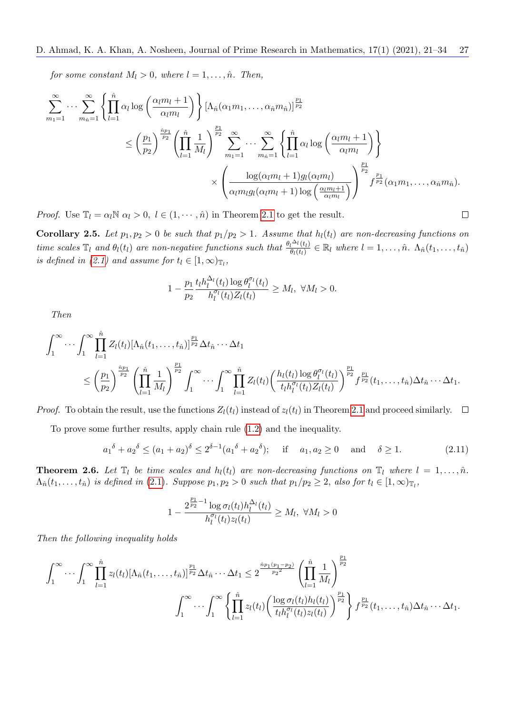for some constant  $M_l > 0$ , where  $l = 1, \ldots, \hat{n}$ . Then,

$$
\sum_{m_1=1}^{\infty} \cdots \sum_{m_{\hat{n}}=1}^{\infty} \left\{ \prod_{l=1}^{\hat{n}} \alpha_l \log \left( \frac{\alpha_l m_l + 1}{\alpha_l m_l} \right) \right\} \left[ \Lambda_{\hat{n}}(\alpha_1 m_1, \ldots, \alpha_{\hat{n}} m_{\hat{n}}) \right]^{\frac{p_1}{p_2}} \n\leq \left( \frac{p_1}{p_2} \right)^{\frac{\hat{n}_{p_1}}{p_2}} \left( \prod_{l=1}^{\hat{n}} \frac{1}{M_l} \right)^{\frac{p_1}{p_2}} \sum_{m_1=1}^{\infty} \cdots \sum_{m_{\hat{n}}=1}^{\infty} \left\{ \prod_{l=1}^{\hat{n}} \alpha_l \log \left( \frac{\alpha_l m_l + 1}{\alpha_l m_l} \right) \right\} \n\times \left( \frac{\log(\alpha_l m_l + 1) g_l(\alpha_l m_l)}{\alpha_l m_l g_l(\alpha_l m_l + 1) \log \left( \frac{\alpha_l m_l + 1}{\alpha_l m_l} \right)} \right)^{\frac{p_1}{p_2}} f^{\frac{p_1}{p_2}}(\alpha_1 m_1, \ldots, \alpha_{\hat{n}} m_{\hat{n}}).
$$

*Proof.* Use  $\mathbb{T}_l = \alpha_l \mathbb{N} \ \alpha_l > 0, \ l \in (1, \dots, \hat{n})$  in Theorem [2.1](#page-2-2) to get the result.

<span id="page-6-2"></span>Corollary 2.5. Let  $p_1, p_2 > 0$  be such that  $p_1/p_2 > 1$ . Assume that  $h_l(t_l)$  are non-decreasing functions on time scales  $\mathbb{T}_l$  and  $\theta_l(t_l)$  are non-negative functions such that  $\frac{\theta_l \Delta_l(t_l)}{\theta_l(t_l)}$  $\frac{d^{i\alpha}l(t_l)}{\theta_l(t_l)} \in \mathbb{R}_l$  where  $l = 1, \ldots, \hat{n}$ .  $\Lambda_{\hat{n}}(t_1, \ldots, t_{\hat{n}})$ is defined in [\(2.1\)](#page-2-0) and assume for  $t_l \in [1,\infty)_{\mathbb{T}_l}$ ,

 $\Box$ 

$$
1 - \frac{p_1}{p_2} \frac{t_l h_l^{\Delta_l}(t_l) \log \theta_l^{\sigma_l}(t_l)}{h_l^{\sigma_l}(t_l) Z_l(t_l)} \ge M_l, \ \forall M_l > 0.
$$

Then

$$
\int_1^{\infty} \cdots \int_1^{\infty} \prod_{l=1}^{\hat{n}} Z_l(t_l) [\Lambda_{\hat{n}}(t_1,\ldots,t_{\hat{n}})]^{\frac{p_1}{p_2}} \Delta t_{\hat{n}} \cdots \Delta t_1
$$
\n
$$
\leq \left(\frac{p_1}{p_2}\right)^{\frac{\hat{n}p_1}{p_2}} \left(\prod_{l=1}^{\hat{n}} \frac{1}{M_l}\right)^{\frac{p_1}{p_2}} \int_1^{\infty} \cdots \int_1^{\infty} \prod_{l=1}^{\hat{n}} Z_l(t_l) \left(\frac{h_l(t_l) \log \theta_l^{\sigma_l}(t_l)}{t_l h_l^{\sigma_l}(t_l) Z_l(t_l)}\right)^{\frac{p_1}{p_2}} f^{\frac{p_1}{p_2}}(t_1,\ldots,t_{\hat{n}}) \Delta t_{\hat{n}} \cdots \Delta t_1.
$$

*Proof.* To obtain the result, use the functions  $Z_l(t_l)$  instead of  $z_l(t_l)$  in Theorem [2.1](#page-2-2) and proceed similarly.  $\Box$ 

To prove some further results, apply chain rule [\(1.2\)](#page-1-4) and the inequality.

<span id="page-6-0"></span>
$$
a_1^{\delta} + a_2^{\delta} \le (a_1 + a_2)^{\delta} \le 2^{\delta - 1} (a_1^{\delta} + a_2^{\delta});
$$
 if  $a_1, a_2 \ge 0$  and  $\delta \ge 1.$  (2.11)

<span id="page-6-1"></span>**Theorem 2.6.** Let  $\mathbb{T}_l$  be time scales and  $h_l(t_l)$  are non-decreasing functions on  $\mathbb{T}_l$  where  $l = 1, \ldots, \hat{n}$ .  $\Lambda_{\hat{n}}(t_1,\ldots,t_{\hat{n}})$  is defined in (2.[1\)](#page-2-0). Suppose  $p_1,p_2>0$  such that  $p_1/p_2\geq 2$ , also for  $t_l\in[1,\infty)_{\mathbb{T}_l}$ ,

$$
1 - \frac{2^{\frac{p_1}{p_2} - 1} \log \sigma_l(t_l) h_l^{\Delta_l}(t_l)}{h_l^{\sigma_l}(t_l) z_l(t_l)} \ge M_l, \ \forall M_l > 0
$$

Then the following inequality holds

$$
\int_{1}^{\infty} \cdots \int_{1}^{\infty} \prod_{l=1}^{\hat{n}} z_{l}(t_{l}) [\Lambda_{\hat{n}}(t_{1},...,t_{\hat{n}})]^{\frac{p_{1}}{p_{2}}} \Delta t_{\hat{n}} \cdots \Delta t_{1} \leq 2^{\frac{\hat{n}p_{1}(p_{1}-p_{2})}{p_{2}}} \left( \prod_{l=1}^{\hat{n}} \frac{1}{M_{l}} \right)^{\frac{p_{1}}{p_{2}}} \left\{ \prod_{l=1}^{\hat{n}} \frac{1}{M_{l}} \right\}^{\frac{p_{1}}{p_{2}}} \cdots \int_{1}^{\infty} \left\{ \prod_{l=1}^{\hat{n}} z_{l}(t_{l}) \left( \frac{\log \sigma_{l}(t_{l}) h_{l}(t_{l})}{t_{l} h_{l}^{\sigma_{l}}(t_{l}) z_{l}(t_{l})} \right)^{\frac{p_{1}}{p_{2}}} \right\} f^{\frac{p_{1}}{p_{2}}}(t_{1},...,t_{\hat{n}}) \Delta t_{\hat{n}} \cdots \Delta t_{1}.
$$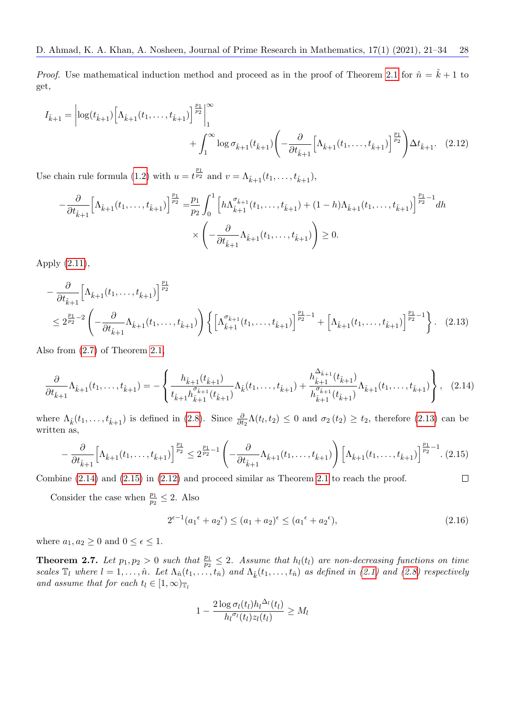*Proof.* Use mathematical induction method and proceed as in the proof of Theorem [2.1](#page-2-2) for  $\hat{n} = \hat{k} + 1$  to get,

$$
I_{\hat{k}+1} = \left| \log(t_{\hat{k}+1}) \left[ \Lambda_{\hat{k}+1}(t_1, \ldots, t_{\hat{k}+1}) \right]^{\frac{p_1}{p_2}} \right|_1^{\infty} + \int_1^{\infty} \log \sigma_{\hat{k}+1}(t_{\hat{k}+1}) \left( -\frac{\partial}{\partial t_{\hat{k}+1}} \left[ \Lambda_{\hat{k}+1}(t_1, \ldots, t_{\hat{k}+1}) \right]^{\frac{p_1}{p_2}} \right) \Delta t_{\hat{k}+1}.
$$
 (2.12)

Use chain rule formula [\(1.2\)](#page-1-4) with  $u = t^{\frac{p_1}{p_2}}$  and  $v = \Lambda_{\hat{k}+1}(t_1, \ldots, t_{\hat{k}+1}),$ 

<span id="page-7-3"></span>
$$
-\frac{\partial}{\partial t_{\hat{k}+1}} \Big[\Lambda_{\hat{k}+1}(t_1,\ldots,t_{\hat{k}+1})\Big]^{\frac{p_1}{p_2}} = \frac{p_1}{p_2} \int_0^1 \Big[h\Lambda_{\hat{k}+1}^{\sigma_{\hat{k}+1}}(t_1,\ldots,t_{\hat{k}+1}) + (1-h)\Lambda_{\hat{k}+1}(t_1,\ldots,t_{\hat{k}+1})\Big]^{\frac{p_1}{p_2}-1} dh
$$
  
 
$$
\times \left(-\frac{\partial}{\partial t_{\hat{k}+1}}\Lambda_{\hat{k}+1}(t_1,\ldots,t_{\hat{k}+1})\right) \ge 0.
$$

Apply [\(2.11\)](#page-6-0),

$$
-\frac{\partial}{\partial t_{\hat{k}+1}} \Big[\Lambda_{\hat{k}+1}(t_1,\ldots,t_{\hat{k}+1})\Big]^{\frac{p_1}{p_2}}\n\leq 2^{\frac{p_1}{p_2}-2}\left(-\frac{\partial}{\partial t_{\hat{k}+1}}\Lambda_{\hat{k}+1}(t_1,\ldots,t_{\hat{k}+1})\right)\left\{\left[\Lambda_{\hat{k}+1}^{\sigma_{\hat{k}+1}}(t_1,\ldots,t_{\hat{k}+1})\right]^{\frac{p_1}{p_2}-1}+\left[\Lambda_{\hat{k}+1}(t_1,\ldots,t_{\hat{k}+1})\right]^{\frac{p_1}{p_2}-1}\right\}.
$$
\n(2.13)

Also from [\(2.7\)](#page-3-2) of Theorem [2.1,](#page-2-2)

$$
\frac{\partial}{\partial t_{\hat{k}+1}}\Lambda_{\hat{k}+1}(t_1,\ldots,t_{\hat{k}+1}) = -\left\{\frac{h_{\hat{k}+1}(t_{\hat{k}+1})}{t_{\hat{k}+1}h_{\hat{k}+1}^{\sigma_{\hat{k}+1}}(t_{\hat{k}+1})}\Lambda_{\hat{k}}(t_1,\ldots,t_{\hat{k}+1}) + \frac{h_{\hat{k}+1}^{\Delta_{\hat{k}+1}}(t_{\hat{k}+1})}{h_{\hat{k}+1}^{\sigma_{\hat{k}+1}}(t_{\hat{k}+1})}\Lambda_{\hat{k}+1}(t_1,\ldots,t_{\hat{k}+1})\right\},\tag{2.14}
$$

where  $\Lambda_k(t_1,\ldots,t_{k+1})$  is defined in [\(2.8\)](#page-3-5). Since  $\frac{\partial}{\partial t_2}\Lambda(t_l,t_2) \leq 0$  and  $\sigma_2(t_2) \geq t_2$ , therefore [\(2.13\)](#page-7-0) can be written as,

<span id="page-7-2"></span>
$$
-\frac{\partial}{\partial t_{\hat{k}+1}} \Big[\Lambda_{\hat{k}+1}(t_1,\ldots,t_{\hat{k}+1})\Big]^{\frac{p_1}{p_2}} \le 2^{\frac{p_1}{p_2}-1} \left(-\frac{\partial}{\partial t_{\hat{k}+1}}\Lambda_{\hat{k}+1}(t_1,\ldots,t_{\hat{k}+1})\right) \left[\Lambda_{\hat{k}+1}(t_1,\ldots,t_{\hat{k}+1})\right]^{\frac{p_1}{p_2}-1}.
$$
 (2.15)  
line (2.14) and (2.15) in (2.12) and proceed similar as Theorem 2.1 to reach the proof.

Combine [\(2.14\)](#page-7-1) and [\(2.15\)](#page-7-2) in [\(2.12\)](#page-7-3) and proceed similar as Theorem [2.1](#page-2-2) to reach the proof.

Consider the case when  $\frac{p_1}{p_2} \leq 2$ . Also

<span id="page-7-4"></span><span id="page-7-1"></span><span id="page-7-0"></span>
$$
2^{\epsilon - 1} (a_1^{\epsilon} + a_2^{\epsilon}) \le (a_1 + a_2)^{\epsilon} \le (a_1^{\epsilon} + a_2^{\epsilon}), \tag{2.16}
$$

where  $a_1, a_2 \geq 0$  and  $0 \leq \epsilon \leq 1$ .

**Theorem 2.7.** Let  $p_1, p_2 > 0$  such that  $\frac{p_1}{p_2} \leq 2$ . Assume that  $h_l(t_l)$  are non-decreasing functions on time scales  $\mathbb{T}_l$  where  $l = 1, \ldots, \hat{n}$ . Let  $\Lambda_{\hat{n}}(t_1, \ldots, t_{\hat{n}})$  and  $\Lambda_{\hat{k}}(t_1, \ldots, t_{\hat{n}})$  as defined in [\(2.1\)](#page-2-0) and [\(2.8\)](#page-3-5) respectively and assume that for each  $t_l \in [1,\infty)_{\mathbb{T}_l}$ 

$$
1 - \frac{2\log \sigma_l(t_l)h_l^{\Delta_l}(t_l)}{h_l^{\sigma_l}(t_l)z_l(t_l)} \ge M_l
$$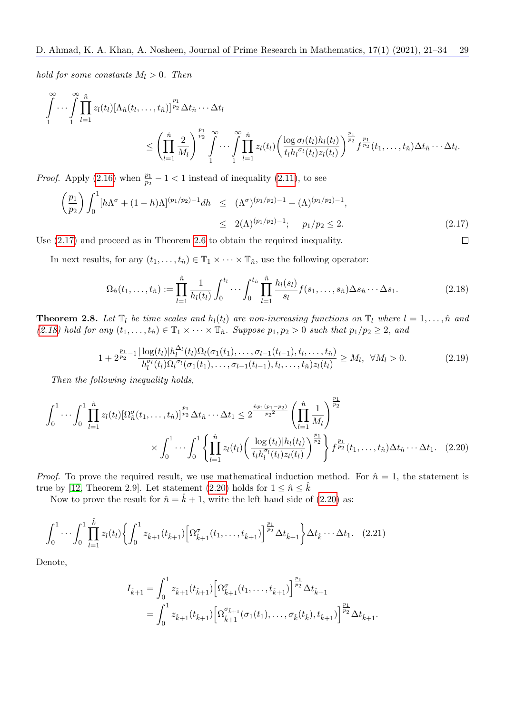hold for some constants  $M_l > 0$ . Then

$$
\int_{1}^{\infty} \cdots \int_{1}^{\infty} \prod_{l=1}^{n} z_{l}(t_{l}) [\Lambda_{\hat{n}}(t_{l},\ldots,t_{\hat{n}})]^{\frac{p_{1}}{p_{2}}}\Delta t_{\hat{n}}\cdots\Delta t_{l} \leq \left(\prod_{l=1}^{\hat{n}} \frac{2}{M_{l}}\right)^{\frac{p_{1}}{p_{2}}}\int_{1}^{\infty} \cdots \int_{1}^{\infty} \prod_{l=1}^{\hat{n}} z_{l}(t_{l}) \left(\frac{\log \sigma_{l}(t_{l}) h_{l}(t_{l})}{t_{l} h_{l}^{\sigma_{l}}(t_{l}) z_{l}(t_{l})}\right)^{\frac{p_{1}}{p_{2}}} f^{\frac{p_{1}}{p_{2}}}(t_{1},\ldots,t_{\hat{n}}) \Delta t_{\hat{n}}\cdots\Delta t_{l}.
$$

*Proof.* Apply [\(2.16\)](#page-7-4) when  $\frac{p_1}{p_2} - 1 < 1$  instead of inequality [\(2.11\)](#page-6-0), to see

<span id="page-8-0"></span>
$$
\left(\frac{p_1}{p_2}\right) \int_0^1 \left[h\Lambda^\sigma + (1-h)\Lambda\right]^{(p_1/p_2)-1} dh \leq (\Lambda^\sigma)^{(p_1/p_2)-1} + (\Lambda)^{(p_1/p_2)-1},
$$
  

$$
\leq 2(\Lambda)^{(p_1/p_2)-1}; \quad p_1/p_2 \leq 2.
$$
 (2.17)

Use [\(2.17\)](#page-8-0) and proceed as in Theorem [2.6](#page-6-1) to obtain the required inequality.

In next results, for any  $(t_1, \ldots, t_{\hat{n}}) \in \mathbb{T}_1 \times \cdots \times \mathbb{T}_{\hat{n}}$ , use the following operator:

<span id="page-8-1"></span>
$$
\Omega_{\hat{n}}(t_1,\ldots,t_{\hat{n}}) := \prod_{l=1}^{\hat{n}} \frac{1}{h_l(t_l)} \int_0^{t_l} \cdots \int_0^{t_{\hat{n}}} \prod_{l=1}^{\hat{n}} \frac{h_l(s_l)}{s_l} f(s_1,\ldots,s_{\hat{n}}) \Delta s_{\hat{n}} \cdots \Delta s_1.
$$
\n(2.18)

<span id="page-8-2"></span> $\Box$ 

<span id="page-8-5"></span>**Theorem 2.8.** Let  $\mathbb{T}_l$  be time scales and  $h_l(t_l)$  are non-increasing functions on  $\mathbb{T}_l$  where  $l = 1, \ldots, \hat{n}$  and [\(2.18\)](#page-8-1) hold for any  $(t_1,\ldots,t_{\hat{n}}) \in \mathbb{T}_1 \times \cdots \times \mathbb{T}_{\hat{n}}$ . Suppose  $p_1, p_2 > 0$  such that  $p_1/p_2 \geq 2$ , and

<span id="page-8-3"></span>
$$
1 + 2^{\frac{p_1}{p_2} - 1} \frac{|\log(t_l)| h_l^{\Delta_l}(t_l) \Omega_l(\sigma_1(t_1), \dots, \sigma_{l-1}(t_{l-1}), t_l, \dots, t_{\hat{n}})}{h_l^{\sigma_l}(t_l) \Omega_l^{\sigma_l}(\sigma_1(t_1), \dots, \sigma_{l-1}(t_{l-1}), t_l, \dots, t_{\hat{n}}) z_l(t_l)} \ge M_l, \ \ \forall M_l > 0.
$$
\n(2.19)

Then the following inequality holds,

$$
\int_0^1 \cdots \int_0^1 \prod_{l=1}^{\hat{n}} z_l(t_l) \left[ \Omega_n^{\sigma}(t_1, \ldots, t_{\hat{n}}) \right]_{\hat{r}_2}^{\hat{r}_1} \Delta t_{\hat{n}} \cdots \Delta t_1 \leq 2^{\frac{\hat{n}_{p_1(p_1 - p_2)}}{p_2^2}} \left( \prod_{l=1}^{\hat{n}} \frac{1}{M_l} \right)^{\frac{p_1}{p_2}} \times \int_0^1 \cdots \int_0^1 \left\{ \prod_{l=1}^{\hat{n}} z_l(t_l) \left( \frac{|\log(t_l)| h_l(t_l)}{t_l h_l^{\sigma_l}(t_l) z_l(t_l)} \right)^{\frac{p_1}{p_2}} \right\} f^{\frac{p_1}{p_2}}(t_1, \ldots, t_{\hat{n}}) \Delta t_{\hat{n}} \cdots \Delta t_1. \tag{2.20}
$$

*Proof.* To prove the required result, we use mathematical induction method. For  $\hat{n} = 1$ , the statement is true by [\[12,](#page-12-6) Theorem 2.9]. Let statement [\(2.20\)](#page-8-2) holds for  $1 \leq \hat{n} \leq \hat{k}$ 

Now to prove the result for  $\hat{n} = \hat{k} + 1$ , write the left hand side of [\(2.20\)](#page-8-2) as:

$$
\int_0^1 \cdots \int_0^1 \prod_{l=1}^{\hat{k}} z_l(t_l) \left\{ \int_0^1 z_{\hat{k}+1}(t_{\hat{k}+1}) \left[ \Omega_{\hat{k}+1}^\sigma(t_1,\ldots,t_{\hat{k}+1}) \right]^{\frac{p_1}{p_2}} \Delta t_{\hat{k}+1} \right\} \Delta t_{\hat{k}} \cdots \Delta t_1. \tag{2.21}
$$

Denote,

<span id="page-8-4"></span>
$$
I_{\hat{k}+1} = \int_0^1 z_{\hat{k}+1}(t_{\hat{k}+1}) \left[ \Omega_{\hat{k}+1}^\sigma(t_1,\ldots,t_{\hat{k}+1}) \right]^{\frac{p_1}{p_2}} \Delta t_{\hat{k}+1}
$$
  
= 
$$
\int_0^1 z_{\hat{k}+1}(t_{\hat{k}+1}) \left[ \Omega_{\hat{k}+1}^{\sigma_{\hat{k}+1}}(\sigma_1(t_1),\ldots,\sigma_{\hat{k}}(t_{\hat{k}}),t_{\hat{k}+1}) \right]^{\frac{p_1}{p_2}} \Delta t_{\hat{k}+1}.
$$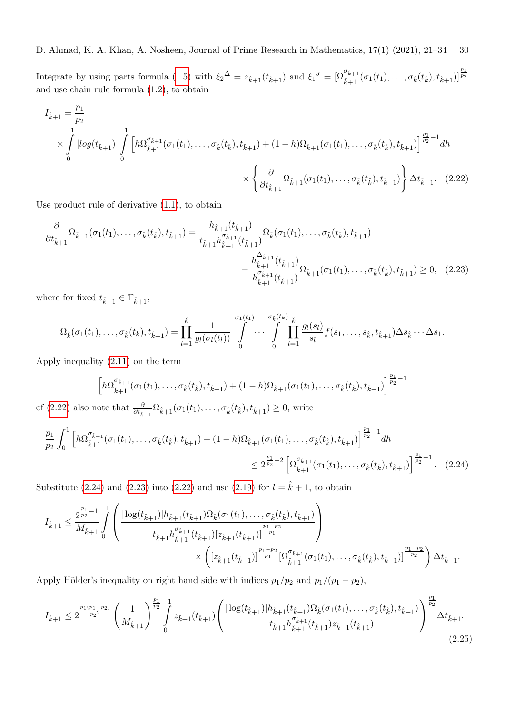Integrate by using parts formula [\(1.5\)](#page-1-2) with  $\xi_2^{\Delta} = z_{\hat{k}+1}(t_{\hat{k}+1})$  and  $\xi_1^{\sigma} = [\Omega_{\hat{k}+1}^{\sigma_{\hat{k}+1}}(\sigma_1(t_1), \ldots, \sigma_{\hat{k}}(t_{\hat{k}}), t_{\hat{k}+1})]^{\frac{p_1}{p_2}}$ and use chain rule formula [\(1.2\)](#page-1-4), to obtain

$$
I_{\hat{k}+1} = \frac{p_1}{p_2}
$$
  
\n
$$
\times \int_{0}^{1} |log(t_{\hat{k}+1})| \int_{0}^{1} \left[ h\Omega_{\hat{k}+1}^{\sigma_{\hat{k}+1}}(\sigma_1(t_1), \dots, \sigma_{\hat{k}}(t_{\hat{k}}), t_{\hat{k}+1}) + (1-h)\Omega_{\hat{k}+1}(\sigma_1(t_1), \dots, \sigma_{\hat{k}}(t_{\hat{k}}), t_{\hat{k}+1}) \right]^{\frac{p_1}{p_2}-1} dh
$$
  
\n
$$
\times \left\{ \frac{\partial}{\partial t_{\hat{k}+1}} \Omega_{\hat{k}+1}(\sigma_1(t_1), \dots, \sigma_{\hat{k}}(t_{\hat{k}}), t_{\hat{k}+1}) \right\} \Delta t_{\hat{k}+1}.
$$
 (2.22)

Use product rule of derivative [\(1.1\)](#page-1-3), to obtain

$$
\frac{\partial}{\partial t_{\hat{k}+1}} \Omega_{\hat{k}+1}(\sigma_1(t_1),\ldots,\sigma_{\hat{k}}(t_{\hat{k}}),t_{\hat{k}+1}) = \frac{h_{\hat{k}+1}(t_{\hat{k}+1})}{t_{\hat{k}+1}h_{\hat{k}+1}^{\sigma_{\hat{k}+1}}(t_{\hat{k}+1})} \Omega_{\hat{k}}(\sigma_1(t_1),\ldots,\sigma_{\hat{k}}(t_{\hat{k}}),t_{\hat{k}+1}) - \frac{h_{\hat{k}+1}^{\Delta_{\hat{k}+1}}(t_{\hat{k}+1})}{h_{\hat{k}+1}^{\sigma_{\hat{k}+1}}(t_{\hat{k}+1})} \Omega_{\hat{k}+1}(\sigma_1(t_1),\ldots,\sigma_{\hat{k}}(t_{\hat{k}}),t_{\hat{k}+1}) \ge 0, \quad (2.23)
$$

where for fixed  $t_{\hat{k}+1} \in \mathbb{T}_{\hat{k}+1}$ ,

$$
\Omega_{\hat{k}}(\sigma_1(t_1),\ldots,\sigma_{\hat{k}}(t_k),t_{\hat{k}+1}) = \prod_{l=1}^{\hat{k}} \frac{1}{g_l(\sigma_l(t_l))} \int\limits_{0}^{\sigma_1(t_1)} \cdots \int\limits_{0}^{\sigma_{\hat{k}}(t_k)} \prod_{l=1}^{\hat{k}} \frac{g_l(s_l)}{s_l} f(s_1,\ldots,s_{\hat{k}},t_{\hat{k}+1}) \Delta s_{\hat{k}} \cdots \Delta s_1.
$$

Apply inequality [\(2.11\)](#page-6-0) on the term

<span id="page-9-2"></span><span id="page-9-1"></span><span id="page-9-0"></span>
$$
\left[h\Omega_{\hat{k}+1}^{\sigma_{\hat{k}+1}}(\sigma_1(t_1),\ldots,\sigma_{\hat{k}}(t_{\hat{k}}),t_{\hat{k}+1})+(1-h)\Omega_{\hat{k}+1}(\sigma_1(t_1),\ldots,\sigma_{\hat{k}}(t_{\hat{k}}),t_{\hat{k}+1})\right]^{\frac{p_1}{p_2}-1}
$$

of [\(2.22\)](#page-9-0) also note that  $\frac{\partial}{\partial t_{\hat{k}+1}} \Omega_{\hat{k}+1}(\sigma_1(t_1), \ldots, \sigma_{\hat{k}}(t_{\hat{k}}), t_{\hat{k}+1}) \geq 0$ , write

$$
\frac{p_1}{p_2} \int_0^1 \left[ h \Omega_{\hat{k}+1}^{\sigma_{\hat{k}+1}}(\sigma_1(t_1), \dots, \sigma_{\hat{k}}(t_{\hat{k}}), t_{\hat{k}+1}) + (1-h) \Omega_{\hat{k}+1}(\sigma_1(t_1), \dots, \sigma_{\hat{k}}(t_{\hat{k}}), t_{\hat{k}+1}) \right]^{\frac{p_1}{p_2}-1} dh
$$
\n
$$
\leq 2^{\frac{p_1}{p_2}-2} \left[ \Omega_{\hat{k}+1}^{\sigma_{\hat{k}+1}}(\sigma_1(t_1), \dots, \sigma_{\hat{k}}(t_{\hat{k}}), t_{\hat{k}+1}) \right]^{\frac{p_1}{p_2}-1} . \quad (2.24)
$$

Substitute [\(2.24\)](#page-9-1) and [\(2.23\)](#page-9-2) into [\(2.22\)](#page-9-0) and use [\(2.19\)](#page-8-3) for  $l = \hat{k} + 1$ , to obtain

$$
I_{\hat{k}+1} \leq \frac{2^{\frac{p_1}{p_2}-1}}{M_{\hat{k}+1}} \int_{0}^{1} \left( \frac{|\log(t_{\hat{k}+1})| h_{\hat{k}+1}(t_{\hat{k}+1}) \Omega_{\hat{k}}(\sigma_1(t_1), \ldots, \sigma_{\hat{k}}(t_{\hat{k}}), t_{\hat{k}+1})}{t_{\hat{k}+1} h_{\hat{k}+1}^{\sigma_{\hat{k}+1}}(t_{\hat{k}+1}) [z_{\hat{k}+1}(t_{\hat{k}+1})]^{ \frac{p_1-p_2}{p_1}}}{\times \left([z_{\hat{k}+1}(t_{\hat{k}+1})]^{\frac{p_1-p_2}{p_1}} [\Omega_{\hat{k}+1}^{\sigma_{\hat{k}+1}}(\sigma_1(t_1), \ldots, \sigma_{\hat{k}}(t_{\hat{k}}), t_{\hat{k}+1})]^{\frac{p_1-p_2}{p_2}}}\right) \Delta t_{\hat{k}+1}.
$$

Apply Hölder's inequality on right hand side with indices  $p_1/p_2$  and  $p_1/(p_1 - p_2)$ ,

<span id="page-9-3"></span>
$$
I_{\hat{k}+1} \leq 2^{\frac{p_1(p_1-p_2)}{p_2^2}} \left(\frac{1}{M_{\hat{k}+1}}\right)^{\frac{p_1}{p_2}} \int_0^1 z_{\hat{k}+1}(t_{\hat{k}+1}) \left(\frac{|\log(t_{\hat{k}+1})| h_{\hat{k}+1}(t_{\hat{k}+1}) \Omega_{\hat{k}}(\sigma_1(t_1),\ldots,\sigma_{\hat{k}}(t_{\hat{k}}),t_{\hat{k}+1})}{t_{\hat{k}+1} h_{\hat{k}+1}^{\sigma_{\hat{k}+1}}(t_{\hat{k}+1}) z_{\hat{k}+1}(t_{\hat{k}+1})}\right)^{\frac{p_1}{p_2}} \Delta t_{\hat{k}+1}.
$$
\n(2.25)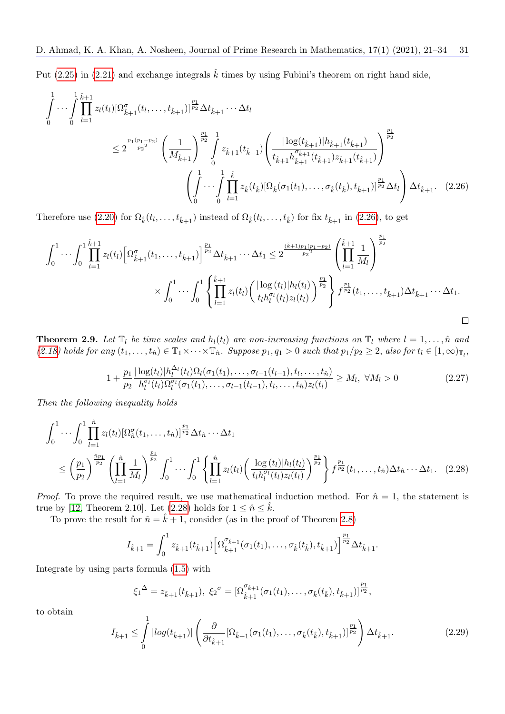Put [\(2.25\)](#page-9-3) in [\(2.21\)](#page-8-4) and exchange integrals  $\hat{k}$  times by using Fubini's theorem on right hand side,

$$
\int_{0}^{1} \cdots \int_{0}^{\hat{\imath}} \prod_{l=1}^{\hat{k}+1} z_{l}(t_{l}) [\Omega_{\hat{k}+1}^{\sigma}(t_{l}, \ldots, t_{\hat{k}+1})]^{\frac{p_{1}}{p_{2}}}\Delta t_{\hat{k}+1} \cdots \Delta t_{l}
$$
\n
$$
\leq 2^{\frac{p_{1}(p_{1}-p_{2})}{p_{2}}}\left(\frac{1}{M_{\hat{k}+1}}\right)^{\frac{p_{1}}{p_{2}}}\int_{0}^{\hat{\jmath}} z_{\hat{k}+1}(t_{\hat{k}+1}) \left(\frac{|\log(t_{\hat{k}+1})|h_{\hat{k}+1}(t_{\hat{k}+1})}{t_{\hat{k}+1}h_{\hat{k}+1}^{\sigma_{\hat{k}+1}}(t_{\hat{k}+1})z_{\hat{k}+1}(t_{\hat{k}+1})}\right)^{\frac{p_{1}}{p_{2}}} \left(\int_{0}^{1} \cdots \int_{0}^{\hat{\jmath}} \prod_{l=1}^{k} z_{\hat{k}}(t_{\hat{k}}) [\Omega_{\hat{k}}(\sigma_{1}(t_{1}), \ldots, \sigma_{\hat{k}}(t_{\hat{k}}), t_{\hat{k}+1})]^{\frac{p_{1}}{p_{2}}}\Delta t_{l}\right) \Delta t_{\hat{k}+1}.
$$
\n(2.26)

Therefore use [\(2.20\)](#page-8-2) for  $\Omega_{\hat{k}}(t_l,\ldots,t_{\hat{k}+1})$  instead of  $\Omega_{\hat{k}}(t_l,\ldots,t_{\hat{k}})$  for fix  $t_{\hat{k}+1}$  in [\(2.26\)](#page-10-0), to get

$$
\int_0^1 \cdots \int_0^1 \prod_{l=1}^{\hat{k}+1} z_l(t_l) \left[ \Omega_{\hat{k}+1}^{\sigma}(t_1,\ldots,t_{\hat{k}+1}) \right]^{\frac{p_1}{p_2}} \Delta t_{\hat{k}+1} \cdots \Delta t_1 \leq 2^{\frac{(\hat{k}+1)p_1(p_1-p_2)}{p_2^2}} \left( \prod_{l=1}^{\hat{k}+1} \frac{1}{M_l} \right)^{\frac{p_1}{p_2}} \times \int_0^1 \cdots \int_0^1 \left\{ \prod_{l=1}^{\hat{k}+1} z_l(t_l) \left( \frac{|\log(t_l)| h_l(t_l)}{t_l h_l^{\sigma_l}(t_l) z_l(t_l)} \right)^{\frac{p_1}{p_2}} \right\} f^{\frac{p_1}{p_2}}(t_1,\ldots,t_{\hat{k}+1}) \Delta t_{\hat{k}+1} \cdots \Delta t_1.
$$

**Theorem 2.9.** Let  $\mathbb{T}_l$  be time scales and  $h_l(t_l)$  are non-increasing functions on  $\mathbb{T}_l$  where  $l = 1, \ldots, \hat{n}$  and  $(2.18)$  holds for any  $(t_1,\ldots,t_{\hat{n}}) \in \mathbb{T}_1 \times \cdots \times \mathbb{T}_{\hat{n}}$ . Suppose  $p_1, q_1 > 0$  such that  $p_1/p_2 \geq 2$ , also for  $t_l \in [1,\infty)_{\mathbb{T}_l}$ ,

<span id="page-10-3"></span><span id="page-10-0"></span>
$$
1 + \frac{p_1}{p_2} \frac{|\log(t_l)| h_l^{\Delta_l}(t_l) \Omega_l(\sigma_1(t_1), \dots, \sigma_{l-1}(t_{l-1}), t_l, \dots, t_{\hat{n}})}{h_l^{\sigma_l}(t_l) \Omega_l^{\sigma_l}(\sigma_1(t_1), \dots, \sigma_{l-1}(t_{l-1}), t_l, \dots, t_{\hat{n}}) z_l(t_l)} \ge M_l, \ \forall M_l > 0
$$
\n(2.27)

Then the following inequality holds

$$
\int_{0}^{1} \cdots \int_{0}^{1} \prod_{l=1}^{\hat{n}} z_{l}(t_{l}) [\Omega_{\hat{n}}^{\sigma}(t_{1}, \ldots, t_{\hat{n}})]^{\frac{p_{1}}{p_{2}}} \Delta t_{\hat{n}} \cdots \Delta t_{1}
$$
\n
$$
\leq \left(\frac{p_{1}}{p_{2}}\right)^{\frac{\hat{n}_{p_{1}}}{p_{2}}} \left(\prod_{l=1}^{\hat{n}} \frac{1}{M_{l}}\right)^{\frac{p_{1}}{p_{2}}} \int_{0}^{1} \cdots \int_{0}^{1} \left\{\prod_{l=1}^{\hat{n}} z_{l}(t_{l}) \left(\frac{|\log(t_{l})|h_{l}(t_{l})}{t_{l}h_{l}^{\sigma_{l}}(t_{l})z_{l}(t_{l})}\right)^{\frac{p_{1}}{p_{2}}}\right\} f^{\frac{p_{1}}{p_{2}}}(t_{1}, \ldots, t_{\hat{n}}) \Delta t_{\hat{n}} \cdots \Delta t_{1}. \quad (2.28)
$$

*Proof.* To prove the required result, we use mathematical induction method. For  $\hat{n} = 1$ , the statement is true by [\[12,](#page-12-6) Theorem 2.10]. Let [\(2.28\)](#page-10-1) holds for  $1 \leq \hat{n} \leq \hat{k}$ .

To prove the result for  $\hat{n} = \hat{k} + 1$ , consider (as in the proof of Theorem [2.8\)](#page-8-5)

<span id="page-10-1"></span>
$$
I_{\hat{k}+1} = \int_0^1 z_{\hat{k}+1}(t_{\hat{k}+1}) \left[ \Omega_{\hat{k}+1}^{\sigma_{\hat{k}+1}}(\sigma_1(t_1), \ldots, \sigma_{\hat{k}}(t_{\hat{k}}), t_{\hat{k}+1}) \right]^{\frac{p_1}{p_2}} \Delta t_{\hat{k}+1}.
$$

Integrate by using parts formula [\(1.5\)](#page-1-2) with

$$
\xi_1^{\Delta} = z_{\hat{k}+1}(t_{\hat{k}+1}), \ \xi_2^{\sigma} = [\Omega_{\hat{k}+1}^{\sigma_{\hat{k}+1}}(\sigma_1(t_1), \ldots, \sigma_{\hat{k}}(t_{\hat{k}}), t_{\hat{k}+1})]^{\frac{p_1}{p_2}},
$$

to obtain

<span id="page-10-2"></span>
$$
I_{\hat{k}+1} \leq \int_{0}^{1} |log(t_{\hat{k}+1})| \left( \frac{\partial}{\partial t_{\hat{k}+1}} [\Omega_{\hat{k}+1}(\sigma_1(t_1), \dots, \sigma_{\hat{k}}(t_{\hat{k}}), t_{\hat{k}+1})]^{\frac{p_1}{p_2}} \right) \Delta t_{\hat{k}+1}.
$$
 (2.29)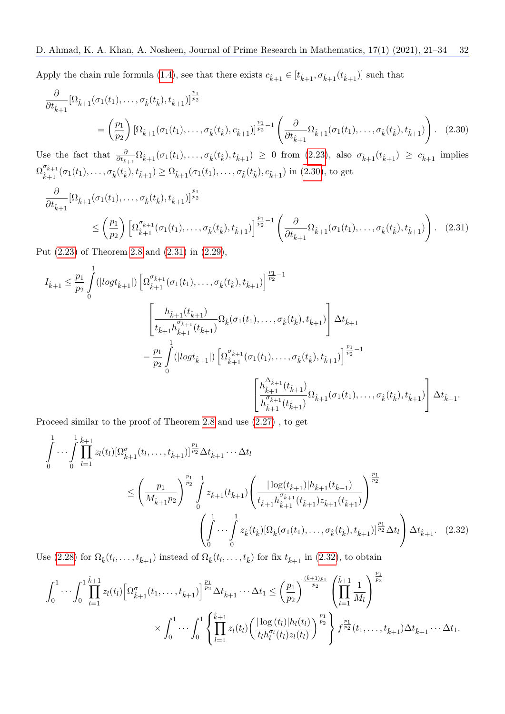Apply the chain rule formula [\(1.4\)](#page-1-5), see that there exists  $c_{\hat{k}+1} \in [t_{\hat{k}+1}, \sigma_{\hat{k}+1}(t_{\hat{k}+1})]$  such that

<span id="page-11-0"></span>
$$
\frac{\partial}{\partial t_{\hat{k}+1}} [\Omega_{\hat{k}+1}(\sigma_1(t_1), \dots, \sigma_{\hat{k}}(t_{\hat{k}}), t_{\hat{k}+1})]^{\frac{p_1}{p_2}} \n= \left(\frac{p_1}{p_2}\right) [\Omega_{\hat{k}+1}(\sigma_1(t_1), \dots, \sigma_{\hat{k}}(t_{\hat{k}}), c_{\hat{k}+1})]^{\frac{p_1}{p_2}-1} \left(\frac{\partial}{\partial t_{\hat{k}+1}} \Omega_{\hat{k}+1}(\sigma_1(t_1), \dots, \sigma_{\hat{k}}(t_{\hat{k}}), t_{\hat{k}+1})\right).
$$
\n(2.30)

Use the fact that  $\frac{\partial}{\partial t_{\hat{k}+1}} \Omega_{\hat{k}+1}(\sigma_1(t_1),\ldots,\sigma_{\hat{k}}(t_{\hat{k}}),t_{\hat{k}+1}) \ge 0$  from [\(2.23\)](#page-9-2), also  $\sigma_{\hat{k}+1}(t_{\hat{k}+1}) \ge c_{\hat{k}+1}$  implies  $\Omega^{\sigma_{\hat{k}+1}}_{\hat{i}}$  $\hat{k}_{k+1}^{k+1}(\sigma_1(t_1),\ldots,\sigma_{\hat{k}}(t_{\hat{k}}),t_{\hat{k}+1}) \geq \Omega_{\hat{k}+1}(\sigma_1(t_1),\ldots,\sigma_{\hat{k}}(t_{\hat{k}}),c_{\hat{k}+1})$  in [\(2.30\)](#page-11-0), to get

<span id="page-11-1"></span>
$$
\frac{\partial}{\partial t_{\hat{k}+1}} [\Omega_{\hat{k}+1}(\sigma_1(t_1), \dots, \sigma_{\hat{k}}(t_{\hat{k}}), t_{\hat{k}+1})]^{\frac{p_1}{p_2}}\n\leq \left(\frac{p_1}{p_2}\right) \left[\Omega_{\hat{k}+1}^{\sigma_{\hat{k}+1}}(\sigma_1(t_1), \dots, \sigma_{\hat{k}}(t_{\hat{k}}), t_{\hat{k}+1})\right]^{\frac{p_1}{p_2}-1} \left(\frac{\partial}{\partial t_{\hat{k}+1}} \Omega_{\hat{k}+1}(\sigma_1(t_1), \dots, \sigma_{\hat{k}}(t_{\hat{k}}), t_{\hat{k}+1})\right).
$$
\n(2.31)

Put [\(2.23\)](#page-9-2) of Theorem [2.8](#page-8-5) and [\(2.31\)](#page-11-1) in [\(2.29\)](#page-10-2),

$$
I_{\hat{k}+1} \leq \frac{p_1}{p_2} \int_0^1 (|log t_{\hat{k}+1}|) \left[ \Omega_{\hat{k}+1}^{\sigma_{\hat{k}+1}}(\sigma_1(t_1), \ldots, \sigma_{\hat{k}}(t_{\hat{k}}), t_{\hat{k}+1}) \right]^{\frac{p_1}{p_2}-1} \left[ \frac{h_{\hat{k}+1}(t_{\hat{k}+1})}{t_{\hat{k}+1}h_{\hat{k}+1}^{\sigma_{\hat{k}+1}}(t_{\hat{k}+1})} \Omega_{\hat{k}}(\sigma_1(t_1), \ldots, \sigma_{\hat{k}}(t_{\hat{k}}), t_{\hat{k}+1}) \right] \Delta t_{\hat{k}+1} \\ - \frac{p_1}{p_2} \int_0^1 (|log t_{\hat{k}+1}|) \left[ \Omega_{\hat{k}+1}^{\sigma_{\hat{k}+1}}(\sigma_1(t_1), \ldots, \sigma_{\hat{k}}(t_{\hat{k}}), t_{\hat{k}+1}) \right]^{\frac{p_1}{p_2}-1} \left[ \frac{h_{\hat{k}+1}^{\Delta_{\hat{k}+1}}(t_{\hat{k}+1})}{h_{\hat{k}+1}^{\sigma_{\hat{k}+1}}(t_{\hat{k}+1})} \Omega_{\hat{k}+1}(\sigma_1(t_1), \ldots, \sigma_{\hat{k}}(t_{\hat{k}}), t_{\hat{k}+1}) \right] \Delta t_{\hat{k}+1}.
$$

Proceed similar to the proof of Theorem [2.8](#page-8-5) and use [\(2.27\)](#page-10-3) , to get

$$
\int_{0}^{1} \cdots \int_{0}^{1} \prod_{l=1}^{\hat{k}+1} z_{l}(t_{l}) [\Omega_{\hat{k}+1}^{\sigma}(t_{l}, \ldots, t_{\hat{k}+1})]^{\frac{p_{1}}{p_{2}}} \Delta t_{\hat{k}+1} \cdots \Delta t_{l}
$$
\n
$$
\leq \left(\frac{p_{1}}{M_{\hat{k}+1}p_{2}}\right)^{\frac{p_{1}}{p_{2}}} \int_{0}^{1} z_{\hat{k}+1}(t_{\hat{k}+1}) \left(\frac{|\log(t_{\hat{k}+1})| h_{\hat{k}+1}(t_{\hat{k}+1})}{t_{\hat{k}+1}h_{\hat{k}+1}^{\sigma_{\hat{k}+1}}(t_{\hat{k}+1}) z_{\hat{k}+1}(t_{\hat{k}+1})}\right)^{\frac{p_{1}}{p_{2}}} \left(\int_{0}^{1} \cdots \int_{0}^{1} z_{\hat{k}}(t_{\hat{k}}) [\Omega_{\hat{k}}(\sigma_{1}(t_{1}), \ldots, \sigma_{\hat{k}}(t_{\hat{k}}), t_{\hat{k}+1})]^{\frac{p_{1}}{p_{2}}} \Delta t_{l}\right) \Delta t_{\hat{k}+1}.
$$
\n(2.32)

Use [\(2.28\)](#page-10-1) for  $\Omega_k(t_l,\ldots,t_{\hat{k}+1})$  instead of  $\Omega_k(t_l,\ldots,t_{\hat{k}})$  for fix  $t_{\hat{k}+1}$  in [\(2.32\)](#page-11-2), to obtain

<span id="page-11-2"></span>
$$
\int_0^1 \cdots \int_0^1 \prod_{l=1}^{\hat{k}+1} z_l(t_l) \left[ \Omega_{\hat{k}+1}^{\sigma}(t_1,\ldots,t_{\hat{k}+1}) \right]^{\frac{p_1}{p_2}} \Delta t_{\hat{k}+1} \cdots \Delta t_1 \leq \left(\frac{p_1}{p_2}\right)^{\frac{(\hat{k}+1)p_1}{p_2}} \left(\prod_{l=1}^{\hat{k}+1} \frac{1}{M_l}\right)^{\frac{p_1}{p_2}} \times \int_0^1 \cdots \int_0^1 \left\{ \prod_{l=1}^{\hat{k}+1} z_l(t_l) \left( \frac{|\log(t_l)| h_l(t_l)}{t_l h_l^{\sigma_l}(t_l) z_l(t_l)} \right)^{\frac{p_1}{p_2}} \right\} f^{\frac{p_1}{p_2}}(t_1,\ldots,t_{\hat{k}+1}) \Delta t_{\hat{k}+1} \cdots \Delta t_1.
$$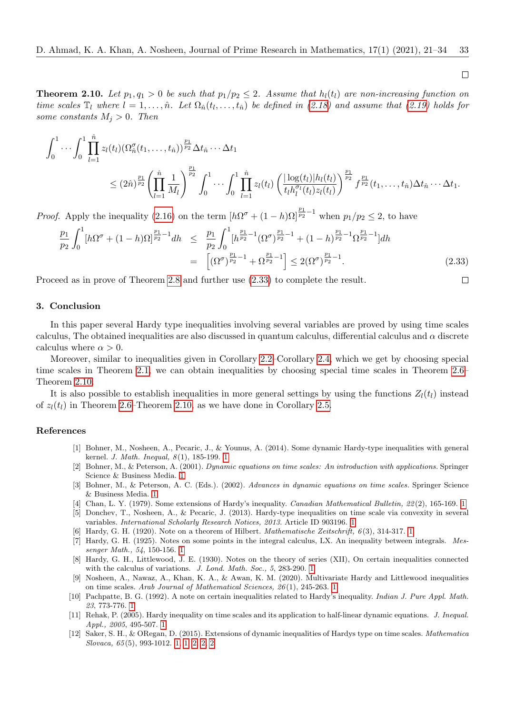<span id="page-12-13"></span>**Theorem 2.10.** Let  $p_1, q_1 > 0$  be such that  $p_1/p_2 \leq 2$ . Assume that  $h_l(t_l)$  are non-increasing function on time scales  $\mathbb{T}_l$  where  $l = 1, \ldots, \hat{n}$ . Let  $\Omega_{\hat{n}}(t_l, \ldots, t_{\hat{n}})$  be defined in [\(2.18\)](#page-8-1) and assume that [\(2.19\)](#page-8-3) holds for some constants  $M_i > 0$ . Then

$$
\int_0^1 \cdots \int_0^1 \prod_{l=1}^{\hat{n}} z_l(t_l) (\Omega_{\hat{n}}^{\sigma}(t_1, \ldots, t_{\hat{n}}))^{\frac{p_1}{p_2}} \Delta t_{\hat{n}} \cdots \Delta t_1
$$
\n
$$
\leq (2\hat{n})^{\frac{p_1}{p_2}} \left( \prod_{l=1}^{\hat{n}} \frac{1}{M_l} \right)^{\frac{p_1}{p_2}} \int_0^1 \cdots \int_0^1 \prod_{l=1}^{\hat{n}} z_l(t_l) \left( \frac{|\log(t_l)| h_l(t_l)}{t_l h_l^{\sigma_l}(t_l) z_l(t_l)} \right)^{\frac{p_1}{p_2}} f^{\frac{p_1}{p_2}}(t_1, \ldots, t_{\hat{n}}) \Delta t_{\hat{n}} \cdots \Delta t_1.
$$

*Proof.* Apply the inequality [\(2.16\)](#page-7-4) on the term  $[h\Omega^{\sigma} + (1-h)\Omega]^{\frac{p_1}{p_2}-1}$  when  $p_1/p_2 \leq 2$ , to have

<span id="page-12-12"></span>
$$
\frac{p_1}{p_2} \int_0^1 \left[h\Omega^{\sigma} + (1-h)\Omega\right]^{\frac{p_1}{p_2}-1} dh \leq \frac{p_1}{p_2} \int_0^1 \left[h^{\frac{p_1}{p_2}-1}(\Omega^{\sigma})^{\frac{p_1}{p_2}-1} + (1-h)^{\frac{p_1}{p_2}-1}\Omega^{\frac{p_1}{p_2}-1}\right] dh
$$
\n
$$
= \left[ (\Omega^{\sigma})^{\frac{p_1}{p_2}-1} + \Omega^{\frac{p_1}{p_2}-1} \right] \leq 2(\Omega^{\sigma})^{\frac{p_1}{p_2}-1}.
$$
\n(2.33)

Proceed as in prove of Theorem [2.8](#page-8-5) and further use [\(2.33\)](#page-12-12) to complete the result.

#### 3. Conclusion

In this paper several Hardy type inequalities involving several variables are proved by using time scales calculus, The obtained inequalities are also discussed in quantum calculus, differential calculus and  $\alpha$  discrete calculus where  $\alpha > 0$ .

Moreover, similar to inequalities given in Corollary [2.2–](#page-4-2)Corollary [2.4,](#page-5-0) which we get by choosing special time scales in Theorem [2.1,](#page-2-2) we can obtain inequalities by choosing special time scales in Theorem [2.6–](#page-6-1) Theorem [2.10.](#page-12-13)

It is also possible to establish inequalities in more general settings by using the functions  $Z_l(t_l)$  instead of  $z_l(t_l)$  in Theorem [2.6–](#page-6-1)Theorem [2.10,](#page-12-13) as we have done in Corollary [2.5.](#page-6-2)

#### References

- <span id="page-12-11"></span>[1] Bohner, M., Nosheen, A., Pecaric, J., & Younus, A. (2014). Some dynamic Hardy-type inequalities with general kernel. *J. Math. Inequal*,  $8(1)$ , [1](#page-2-3)85-199. 1
- <span id="page-12-9"></span>[2] Bohner, M., & Peterson, A. (2001). Dynamic equations on time scales: An introduction with applications. Springer Science & Business Media. [1](#page-0-0)
- <span id="page-12-10"></span>[3] Bohner, M., & Peterson, A. C. (Eds.). (2002). Advances in dynamic equations on time scales. Springer Science & Business Media. [1](#page-0-0)
- <span id="page-12-3"></span>[4] Chan, L. Y. (1979). Some extensions of Hardy's inequality. Canadian Mathematical Bulletin, 22(2), [1](#page-0-0)65-169. 1
- <span id="page-12-7"></span>[5] Donchev, T., Nosheen, A., & Pecaric, J. (2013). Hardy-type inequalities on time scale via convexity in several variables. International Scholarly Research Notices, 2013. Article ID 903196. [1](#page-0-0)
- <span id="page-12-0"></span>[6] Hardy, G. H. (1920). Note on a theorem of Hilbert. Mathematische Zeitschrift, 6 (3), 314-317. [1](#page-0-0)
- <span id="page-12-1"></span>[7] Hardy, G. H. (1925). Notes on some points in the integral calculus, LX. An inequality between integrals. Messenger Math., 54, 150-156. [1](#page-0-0)
- <span id="page-12-2"></span>[8] Hardy, G. H., Littlewood, J. E. (1930). Notes on the theory of series (XII), On certain inequalities connected with the calculus of variations. J. Lond. Math. Soc., 5, 283-290. [1](#page-0-0)
- <span id="page-12-8"></span>[9] Nosheen, A., Nawaz, A., Khan, K. A., & Awan, K. M. (2020). Multivariate Hardy and Littlewood inequalities on time scales. Arab Journal of Mathematical Sciences, 26 (1), 245-263. [1](#page-0-0)
- <span id="page-12-4"></span>[10] Pachpatte, B. G. (1992). A note on certain inequalities related to Hardy's inequality. Indian J. Pure Appl. Math. 23, 773-776. [1](#page-0-0)
- <span id="page-12-5"></span>[11] Rehak, P. (2005). Hardy inequality on time scales and its application to half-linear dynamic equations. J. Inequal. Appl., 2005, 495-507. [1](#page-0-0)
- <span id="page-12-6"></span>[12] Saker, S. H., & ORegan, D. (2015). Extensions of dynamic inequalities of Hardys type on time scales. Mathematica Slovaca, 65 (5), 993-1012. [1,](#page-0-0) [1,](#page-2-4) [2,](#page-3-0) [2,](#page-8-2) [2](#page-10-1)

 $\Box$ 

 $\Box$